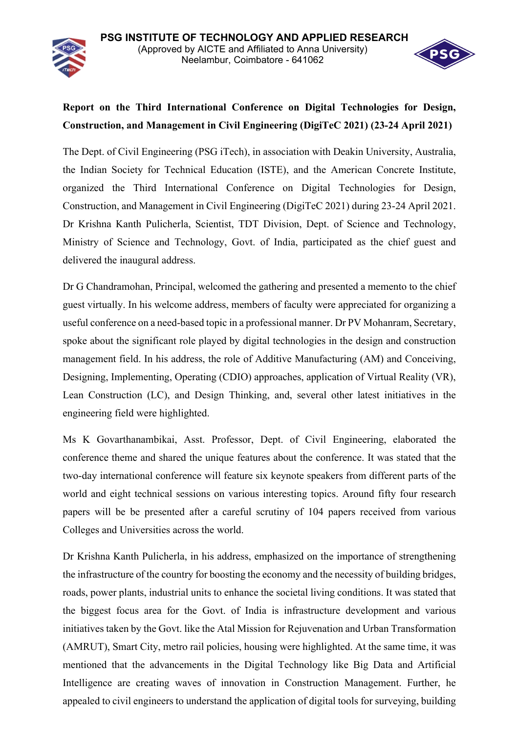

## **Report on the Third International Conference on Digital Technologies for Design, Construction, and Management in Civil Engineering (DigiTeC 2021) (23-24 April 2021)**

The Dept. of Civil Engineering (PSG iTech), in association with Deakin University, Australia, the Indian Society for Technical Education (ISTE), and the American Concrete Institute, organized the Third International Conference on Digital Technologies for Design, Construction, and Management in Civil Engineering (DigiTeC 2021) during 23-24 April 2021. Dr Krishna Kanth Pulicherla, Scientist, TDT Division, Dept. of Science and Technology, Ministry of Science and Technology, Govt. of India, participated as the chief guest and delivered the inaugural address.

Dr G Chandramohan, Principal, welcomed the gathering and presented a memento to the chief guest virtually. In his welcome address, members of faculty were appreciated for organizing a useful conference on a need-based topic in a professional manner. Dr PV Mohanram, Secretary, spoke about the significant role played by digital technologies in the design and construction management field. In his address, the role of Additive Manufacturing (AM) and Conceiving, Designing, Implementing, Operating (CDIO) approaches, application of Virtual Reality (VR), Lean Construction (LC), and Design Thinking, and, several other latest initiatives in the engineering field were highlighted.

Ms K Govarthanambikai, Asst. Professor, Dept. of Civil Engineering, elaborated the conference theme and shared the unique features about the conference. It was stated that the two-day international conference will feature six keynote speakers from different parts of the world and eight technical sessions on various interesting topics. Around fifty four research papers will be be presented after a careful scrutiny of 104 papers received from various Colleges and Universities across the world.

Dr Krishna Kanth Pulicherla, in his address, emphasized on the importance of strengthening the infrastructure of the country for boosting the economy and the necessity of building bridges, roads, power plants, industrial units to enhance the societal living conditions. It was stated that the biggest focus area for the Govt. of India is infrastructure development and various initiatives taken by the Govt. like the Atal Mission for Rejuvenation and Urban Transformation (AMRUT), Smart City, metro rail policies, housing were highlighted. At the same time, it was mentioned that the advancements in the Digital Technology like Big Data and Artificial Intelligence are creating waves of innovation in Construction Management. Further, he appealed to civil engineers to understand the application of digital tools for surveying, building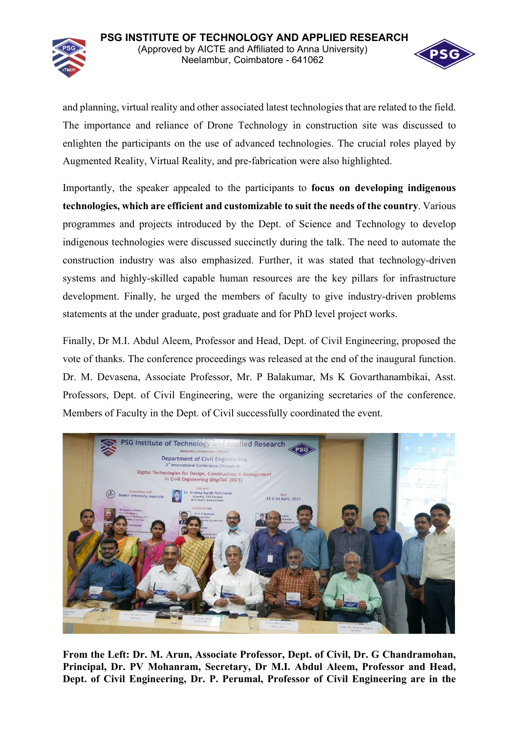**PSG INSTITUTE OF TECHNOLOGY AND APPLIED RESEARCH** (Approved by AICTE and Affiliated to Anna University) Neelambur, Coimbatore - 641062



and planning, virtual reality and other associated latest technologies that are related to the field. The importance and reliance of Drone Technology in construction site was discussed to enlighten the participants on the use of advanced technologies. The crucial roles played by Augmented Reality, Virtual Reality, and pre-fabrication were also highlighted.

Importantly, the speaker appealed to the participants to **focus on developing indigenous technologies, which are efficient and customizable to suit the needs of the country**. Various programmes and projects introduced by the Dept. of Science and Technology to develop indigenous technologies were discussed succinctly during the talk. The need to automate the construction industry was also emphasized. Further, it was stated that technology-driven systems and highly-skilled capable human resources are the key pillars for infrastructure development. Finally, he urged the members of faculty to give industry-driven problems statements at the under graduate, post graduate and for PhD level project works.

Finally, Dr M.I. Abdul Aleem, Professor and Head, Dept. of Civil Engineering, proposed the vote of thanks. The conference proceedings was released at the end of the inaugural function. Dr. M. Devasena, Associate Professor, Mr. P Balakumar, Ms K Govarthanambikai, Asst. Professors, Dept. of Civil Engineering, were the organizing secretaries of the conference. Members of Faculty in the Dept. of Civil successfully coordinated the event.



**From the Left: Dr. M. Arun, Associate Professor, Dept. of Civil, Dr. G Chandramohan, Principal, Dr. PV Mohanram, Secretary, Dr M.I. Abdul Aleem, Professor and Head, Dept. of Civil Engineering, Dr. P. Perumal, Professor of Civil Engineering are in the**